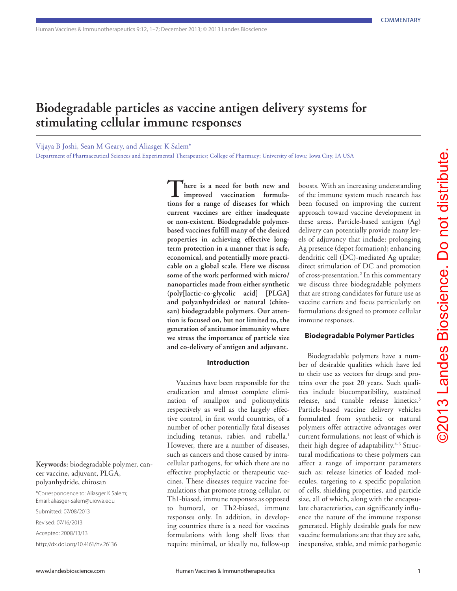# **Biodegradable particles as vaccine antigen delivery systems for stimulating cellular immune responses**

Vijaya B Joshi, Sean M Geary, and Aliasger K Salem\*

Department of Pharmaceutical Sciences and Experimental Therapeutics; College of Pharmacy; University of Iowa; Iowa City, IA USA

**There is a need for both new and improved vaccination formulations for a range of diseases for which current vaccines are either inadequate or non-existent. Biodegradable polymerbased vaccines fulfill many of the desired properties in achieving effective longterm protection in a manner that is safe, economical, and potentially more practicable on a global scale. Here we discuss some of the work performed with micro/ nanoparticles made from either synthetic (poly[lactic-co-glycolic acid] [PLGA] and polyanhydrides) or natural (chitosan) biodegradable polymers. Our attention is focused on, but not limited to, the generation of antitumor immunity where we stress the importance of particle size and co-delivery of antigen and adjuvant.**

#### **Introduction**

Vaccines have been responsible for the eradication and almost complete elimination of smallpox and poliomyelitis respectively as well as the largely effective control, in first world countries, of a number of other potentially fatal diseases including tetanus, rabies, and rubella.<sup>1</sup> However, there are a number of diseases, such as cancers and those caused by intracellular pathogens, for which there are no effective prophylactic or therapeutic vaccines. These diseases require vaccine formulations that promote strong cellular, or Th1-biased, immune responses as opposed to humoral, or Th2-biased, immune responses only. In addition, in developing countries there is a need for vaccines formulations with long shelf lives that require minimal, or ideally no, follow-up

boosts. With an increasing understanding of the immune system much research has been focused on improving the current approach toward vaccine development in these areas. Particle-based antigen (Ag) delivery can potentially provide many levels of adjuvancy that include: prolonging Ag presence (depot formation); enhancing dendritic cell (DC)-mediated Ag uptake; direct stimulation of DC and promotion of cross-presentation.2 In this commentary we discuss three biodegradable polymers that are strong candidates for future use as vaccine carriers and focus particularly on formulations designed to promote cellular immune responses.

# **Biodegradable Polymer Particles**

Biodegradable polymers have a number of desirable qualities which have led to their use as vectors for drugs and proteins over the past 20 years. Such qualities include biocompatibility, sustained release, and tunable release kinetics.3 Particle-based vaccine delivery vehicles formulated from synthetic or natural polymers offer attractive advantages over current formulations, not least of which is their high degree of adaptability.<sup>4-6</sup> Structural modifications to these polymers can affect a range of important parameters such as: release kinetics of loaded molecules, targeting to a specific population of cells, shielding properties, and particle size, all of which, along with the encapsulate characteristics, can significantly influence the nature of the immune response generated. Highly desirable goals for new vaccine formulations are that they are safe, inexpensive, stable, and mimic pathogenic

# **Keywords:** biodegradable polymer, cancer vaccine, adjuvant, PLGA, polyanhydride, chitosan

\*Correspondence to: Aliasger K Salem; Email: aliasger-salem@uiowa.edu Submitted: 07/08/2013

Revised: 07/16/2013

Accepted: 2008/13/13

http://dx.doi.org/10.4161/hv.26136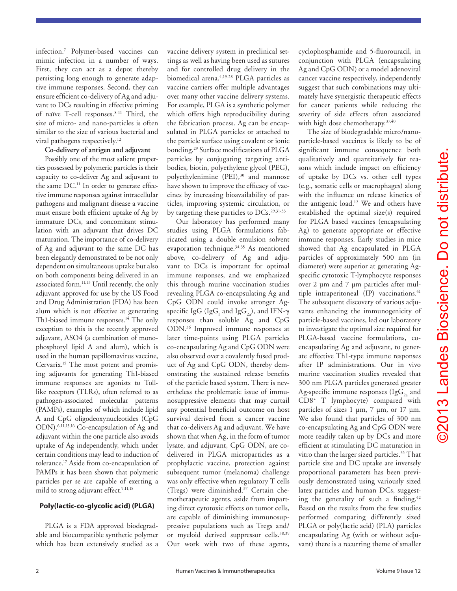infection.7 Polymer-based vaccines can mimic infection in a number of ways. First, they can act as a depot thereby persisting long enough to generate adaptive immune responses. Second, they can ensure efficient co-delivery of Ag and adjuvant to DCs resulting in effective priming of naïve T-cell responses.8-11 Third, the size of micro- and nano-particles is often similar to the size of various bacterial and viral pathogens respectively.<sup>12</sup>

### **Co-delivery of antigen and adjuvant**

Possibly one of the most salient properties possessed by polymeric particles is their capacity to co-deliver Ag and adjuvant to the same DC.<sup>11</sup> In order to generate effective immune responses against intracellular pathogens and malignant disease a vaccine must ensure both efficient uptake of Ag by immature DCs, and concomitant stimulation with an adjuvant that drives DC maturation. The importance of co-delivery of Ag and adjuvant to the same DC has been elegantly demonstrated to be not only dependent on simultaneous uptake but also on both components being delivered in an associated form.<sup>11,13</sup> Until recently, the only adjuvant approved for use by the US Food and Drug Administration (FDA) has been alum which is not effective at generating Th1-biased immune responses.<sup>14</sup> The only exception to this is the recently approved adjuvant, ASO4 (a combination of monophosphoryl lipid A and alum), which is used in the human papillomavirus vaccine, Cervarix.<sup>15</sup> The most potent and promising adjuvants for generating Th1-biased immune responses are agonists to Tolllike receptors (TLRs), often referred to as pathogen-associated molecular patterns (PAMPs), examples of which include lipid A and CpG oligodeoxynucleotides (CpG ODN).6,11,15,16 Co-encapsulation of Ag and adjuvant within the one particle also avoids uptake of Ag independently, which under certain conditions may lead to induction of tolerance.17 Aside from co-encapsulation of PAMPs it has been shown that polymeric particles per se are capable of exerting a mild to strong adjuvant effect.<sup>9,11,18</sup>

## **Poly(lactic-co-glycolic acid) (PLGA)**

PLGA is a FDA approved biodegradable and biocompatible synthetic polymer which has been extensively studied as a vaccine delivery system in preclinical settings as well as having been used as sutures and for controlled drug delivery in the biomedical arena.<sup>4,19-28</sup> PLGA particles as vaccine carriers offer multiple advantages over many other vaccine delivery systems. For example, PLGA is a synthetic polymer which offers high reproducibility during the fabrication process. Ag can be encapsulated in PLGA particles or attached to the particle surface using covalent or ionic bonding.29 Surface modifications of PLGA particles by conjugating targeting antibodies, biotin, polyethylene glycol (PEG), polyethylenimine (PEI),<sup>30</sup> and mannose have shown to improve the efficacy of vaccines by increasing bioavailability of particles, improving systemic circulation, or by targeting these particles to DCs.<sup>29,31-33</sup>

Our laboratory has performed many studies using PLGA formulations fabricated using a double emulsion solvent evaporation technique.34,35 As mentioned above, co-delivery of Ag and adjuvant to DCs is important for optimal immune responses, and we emphasized this through murine vaccination studies revealing PLGA co-encapsulating Ag and CpG ODN could invoke stronger Agspecific IgG (IgG<sub>1</sub> and IgG<sub>2a</sub>), and IFN-γ responses than soluble Ag and CpG ODN.36 Improved immune responses at later time-points using PLGA particles co-encapsulating Ag and CpG ODN were also observed over a covalently fused product of Ag and CpG ODN, thereby demonstrating the sustained release benefits of the particle based system. There is nevertheless the problematic issue of immunosuppressive elements that may curtail any potential beneficial outcome on host survival derived from a cancer vaccine that co-delivers Ag and adjuvant. We have shown that when Ag, in the form of tumor lysate, and adjuvant, CpG ODN, are codelivered in PLGA microparticles as a prophylactic vaccine, protection against subsequent tumor (melanoma) challenge was only effective when regulatory T cells (Tregs) were diminished.37 Certain chemotherapeutic agents, aside from imparting direct cytotoxic effects on tumor cells, are capable of diminishing immunosuppressive populations such as Tregs and/ or myeloid derived suppressor cells.38,39 Our work with two of these agents,

cyclophosphamide and 5-fluorouracil, in conjunction with PLGA (encapsulating Ag and CpG ODN) or a model adenoviral cancer vaccine respectively, independently suggest that such combinations may ultimately have synergistic therapeutic effects for cancer patients while reducing the severity of side effects often associated with high dose chemotherapy.<sup>37,40</sup>

The size of biodegradable micro/nanoparticle-based vaccines is likely to be of significant immune consequence both qualitatively and quantitatively for reasons which include impact on efficiency of uptake by DCs vs. other cell types (e.g., somatic cells or macrophages) along with the influence on release kinetics of the antigenic load.12 We and others have established the optimal size(s) required for PLGA based vaccines (encapsulating Ag) to generate appropriate or effective immune responses. Early studies in mice showed that Ag encapsulated in PLGA particles of approximately 500 nm (in diameter) were superior at generating Agspecific cytotoxic T-lymphocyte responses over 2 µm and 7 µm particles after multiple intraperitoneal (IP) vaccinations.<sup>41</sup> The subsequent discovery of various adjuvants enhancing the immunogenicity of particle-based vaccines, led our laboratory to investigate the optimal size required for PLGA-based vaccine formulations, coencapsulating Ag and adjuvant, to generate effective Th1-type immune responses after IP administrations. Our in vivo murine vaccination studies revealed that 300 nm PLGA particles generated greater Ag-specific immune responses (IgG<sub>2</sub> and CD8+ T lymphocyte) compared with particles of sizes 1  $\mu$ m, 7  $\mu$ m, or 17  $\mu$ m. We also found that particles of 300 nm co-encapsulating Ag and CpG ODN were more readily taken up by DCs and more efficient at stimulating DC maturation in vitro than the larger sized particles.<sup>35</sup> That particle size and DC uptake are inversely proportional parameters has been previously demonstrated using variously sized latex particles and human DCs, suggesting the generality of such a finding.<sup>42</sup> Based on the results from the few studies performed comparing differently sized PLGA or poly(lactic acid) (PLA) particles encapsulating Ag (with or without adjuvant) there is a recurring theme of smaller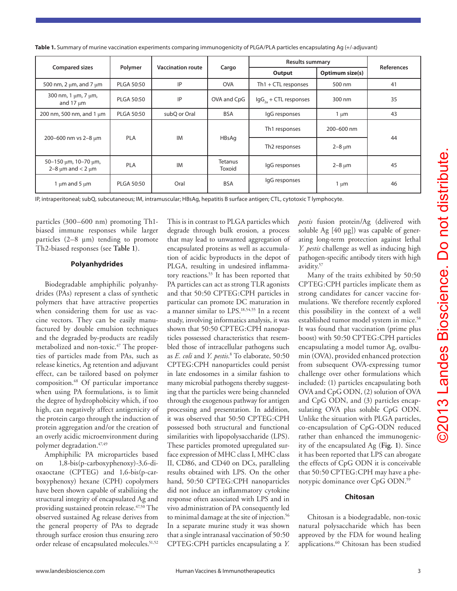| 44                                                                                                                                                                  |  |
|---------------------------------------------------------------------------------------------------------------------------------------------------------------------|--|
|                                                                                                                                                                     |  |
| 45                                                                                                                                                                  |  |
| 46                                                                                                                                                                  |  |
|                                                                                                                                                                     |  |
| (delivered with<br>apable of gener-<br>n against lethal<br>s inducing high<br>titers with high                                                                      |  |
| ibited by 50:50<br>plicate them as<br>cer vaccine for-<br>ecently explored<br>ntext of a well<br>ystem in mice. <sup>58</sup><br>ion (prime plus<br>G:CPH particles |  |
| nor Ag, ovalbu-<br>nced protection<br>pressing tumor<br>nulations which<br>apsulating both<br>solution of OVA                                                       |  |
| particles encap-<br>le CpG ODN.<br>PLGA particles,<br>-ODN reduced<br>immunogenic-                                                                                  |  |

| Table 1. Summary of murine vaccination experiments comparing immunogenicity of PLGA/PLA particles encapsulating Ag (+/-adjuvant) |  |
|----------------------------------------------------------------------------------------------------------------------------------|--|
|----------------------------------------------------------------------------------------------------------------------------------|--|

| <b>Compared sizes</b>                                         | Polymer                 | <b>Vaccination route</b> | Cargo                     | <b>Results summary</b>            |                 |                   |
|---------------------------------------------------------------|-------------------------|--------------------------|---------------------------|-----------------------------------|-----------------|-------------------|
|                                                               |                         |                          |                           | Output                            | Optimum size(s) | <b>References</b> |
| 500 nm, 2 $\mu$ m, and 7 $\mu$ m                              | <b>PLGA 50:50</b>       | IP                       | <b>OVA</b>                | $Th1 + CTL$ responses             | 500 nm          | 41                |
| 300 nm, 1 $\mu$ m, 7 $\mu$ m,<br>and $17 \mu m$               | <b>PLGA 50:50</b>       | IP                       | OVA and CpG               | $\text{lgG}_{2a}$ + CTL responses | 300 nm          | 35                |
| 200 nm, 500 nm, and 1 $\mu$ m                                 | <b>PLGA 50:50</b>       | subQ or Oral             | <b>BSA</b>                | IgG responses                     | $1 \mu m$       | 43                |
| 200-600 nm vs 2-8 µm                                          | <b>IM</b><br><b>PLA</b> | HBsAg                    | Th1 responses             | 200-600 nm                        | 44              |                   |
|                                                               |                         |                          | Th <sub>2</sub> responses | $2-8 \mu m$                       |                 |                   |
| 50-150 $\mu$ m, 10-70 $\mu$ m,<br>2–8 $\mu$ m and < 2 $\mu$ m | <b>PLA</b>              | <b>IM</b>                | <b>Tetanus</b><br>Toxoid  | IgG responses                     | $2-8 \mu m$     | 45                |
| 1 $\mu$ m and 5 $\mu$ m                                       | <b>PLGA 50:50</b>       | Oral                     | <b>BSA</b>                | IgG responses                     | $1 \mu m$       | 46                |

IP, intraperitoneal; subQ, subcutaneous; IM, intramuscular; HBsAg, hepatitis B surface antigen; CTL, cytotoxic T lymphocyte.

particles (300–600 nm) promoting Th1 biased immune responses while larger particles  $(2-8 \mu m)$  tending to promote Th2-biased responses (see **Table 1**).

#### **Polyanhydrides**

Biodegradable amphiphilic polyanhydrides (PAs) represent a class of synthetic polymers that have attractive properties when considering them for use as vaccine vectors. They can be easily manufactured by double emulsion techniques and the degraded by-products are readily metabolized and non-toxic.<sup>47</sup> The properties of particles made from PAs, such as release kinetics, Ag retention and adjuvant effect, can be tailored based on polymer composition.48 Of particular importance when using PA formulations, is to limit the degree of hydrophobicity which, if too high, can negatively affect antigenicity of the protein cargo through the induction of protein aggregation and/or the creation of an overly acidic microenvironment during polymer degradation.47,49

Amphiphilic PA microparticles based on 1,8-bis(p-carboxyphenoxy)-3,6-dioxaoctane (CPTEG) and 1,6-bis(p-carboxyphenoxy) hexane (CPH) copolymers have been shown capable of stabilizing the structural integrity of encapsulated Ag and providing sustained protein release.<sup>47,50</sup> The observed sustained Ag release derives from the general property of PAs to degrade through surface erosion thus ensuring zero order release of encapsulated molecules.<sup>51,52</sup>

This is in contrast to PLGA particles which degrade through bulk erosion, a process that may lead to unwanted aggregation of encapsulated proteins as well as accumulation of acidic byproducts in the depot of PLGA, resulting in undesired inflammatory reactions.53 It has been reported that PA particles can act as strong TLR agonists and that 50:50 CPTEG:CPH particles in particular can promote DC maturation in a manner similar to LPS.18,54,55 In a recent study, involving informatics analysis, it was shown that 50:50 CPTEG:CPH nanoparticles possessed characteristics that resembled those of intracellular pathogens such as *E. coli* and *Y. pestis*. 8 To elaborate, 50:50 CPTEG:CPH nanoparticles could persist in late endosomes in a similar fashion to many microbial pathogens thereby suggesting that the particles were being channeled through the exogenous pathway for antigen processing and presentation. In addition, it was observed that 50:50 CPTEG:CPH possessed both structural and functional similarities with lipopolysaccharide (LPS). These particles promoted upregulated surface expression of MHC class I, MHC class II, CD86, and CD40 on DCs, paralleling results obtained with LPS. On the other hand, 50:50 CPTEG:CPH nanoparticles did not induce an inflammatory cytokine response often associated with LPS and in vivo administration of PA consequently led to minimal damage at the site of injection.<sup>56</sup> In a separate murine study it was shown that a single intranasal vaccination of 50:50 CPTEG:CPH particles encapsulating a *Y.* 

*pestis* fusion protein/Ag soluble Ag  $[40 \text{ µg}])$  was ca ating long-term protection *Y. pestis* challenge as well a pathogen-specific antibody avidity.57

Many of the traits exh CPTEG:CPH particles in strong candidates for can mulations. We therefore re this possibility in the co. established tumor model s It was found that vaccinat boost) with 50:50 CPTEG encapsulating a model tur min (OVA), provided enha from subsequent OVA-expressing tumor challenge over other formulations which included: (1) particles encapsulating both OVA and CpG ODN, (2) solution of OVA and CpG ODN, and (3) particles encapsulating OVA plus soluble CpG ODN. Unlike the situation with PLGA particles, co-encapsulation of CpG-ODN reduced rather than enhanced the immunogenicity of the encapsulated Ag (**Fig. 1**). Since it has been reported that LPS can abrogate the effects of CpG ODN it is conceivable that 50:50 CPTEG:CPH may have a phenotypic dominance over CpG ODN.59

# **Chitosan**

Chitosan is a biodegradable, non-toxic natural polysaccharide which has been approved by the FDA for wound healing applications.<sup>60</sup> Chitosan has been studied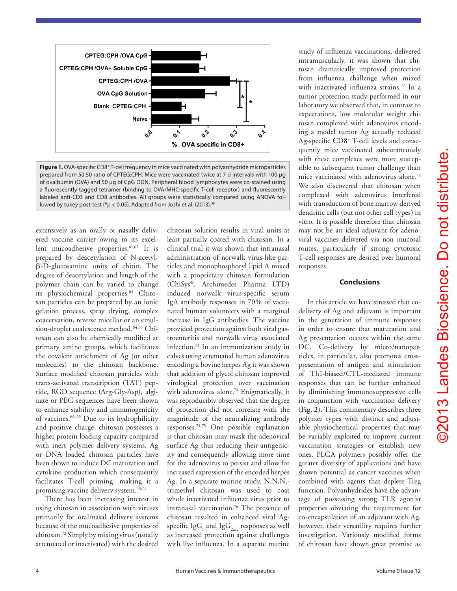

Figure 1. OVA-specific CD8<sup>+</sup> T-cell frequency in mice vaccinated with polyanhydride microparticles prepared from 50:50 ratio of CPTEG:CPH. Mice were vaccinated twice at 7 d intervals with 100 µg of ovalbumin (OVA) and 50 µg of CpG ODN. Peripheral blood lymphocytes were co-stained using a fluorescently tagged tetramer (binding to OVA/MHC-specific T-cell receptor) and fluorescently labeled anti-CD3 and CD8 antibodies. All groups were statistically compared using ANOVA followed by tukey post-test (\*p < 0.05). Adapted from Joshi et al. (2013).<sup>58</sup>

extensively as an orally or nasally delivered vaccine carrier owing to its excellent mucoadhesive properties.<sup>61,62</sup> It is prepared by deacetylation of N-acetylβ-D-glucosamine units of chitin. The degree of deacetylation and length of the polymer chain can be varied to change its physiochemical properties.<sup>63</sup> Chitosan particles can be prepared by an ionic gelation process, spray drying, complex coacervation, reverse micellar or an emulsion-droplet coalescence method.<sup>64,65</sup> Chitosan can also be chemically modified at primary amine groups, which facilitates the covalent attachment of Ag (or other molecules) to the chitosan backbone. Surface modified chitosan particles with trans-activated transcription (TAT) peptide, RGD sequence (Arg-Gly-Asp), alginate or PEG sequences have been shown to enhance stability and immunogenicity of vaccines.66-69 Due to its hydrophilicity and positive charge, chitosan possesses a higher protein loading capacity compared with inert polymer delivery systems. Ag or DNA loaded chitosan particles have been shown to induce DC maturation and cytokine production which consequently facilitates T-cell priming, making it a promising vaccine delivery system.70,71

There has been increasing interest in using chitosan in association with viruses primarily for oral/nasal delivery systems because of the mucoadhesive properties of chitosan.72 Simply by mixing virus (usually attenuated or inactivated) with the desired

chitosan solution results in viral units at least partially coated with chitosan. In a clinical trial it was shown that intranasal administration of norwalk virus-like particles and monophosphoryl lipid A mixed with a proprietary chitosan formulation (ChiSys®, Archimedes Pharma LTD) induced norwalk virus-specific serum IgA antibody responses in 70% of vaccinated human volunteers with a marginal increase in IgG antibodies. The vaccine provided protection against both viral gastroenteritis and norwalk virus associated infection.73 In an immunization study in calves using attenuated human adenovirus encoding a bovine herpes Ag it was shown that addition of glycol chitosan improved virological protection over vaccination with adenovirus alone.<sup>74</sup> Enigmatically, it was reproducibly observed that the degree of protection did not correlate with the magnitude of the neutralizing antibody responses.74,75 One possible explanation is that chitosan may mask the adenoviral surface Ag thus reducing their antigenicity and consequently allowing more time for the adenovirus to persist and allow for increased expression of the encoded herpes Ag. In a separate murine study, N,N,N,trimethyl chitosan was used to coat whole inactivated influenza virus prior to intranasal vaccination.76 The presence of chitosan resulted in enhanced viral Agspecific Ig $G_i$  and Ig $G_{2a/c}$  responses as well as increased protection against challenges with live influenza. In a separate murine

study of influenza vaccinations, delivered intramuscularly, it was shown that chitosan dramatically improved protection from influenza challenge when mixed with inactivated influenza strains.<sup>77</sup> In a tumor protection study performed in our laboratory we observed that, in contrast to expectations, low molecular weight chitosan complexed with adenovirus encoding a model tumor Ag actually reduced Ag-specific CD8+ T-cell levels and consequently mice vaccinated subcutaneously with these complexes were more susceptible to subsequent tumor challenge than mice vaccinated with adenovirus alone.78 We also discovered that chitosan when complexed with adenovirus interfered with transduction of bone marrow derived dendritic cells (but not other cell types) in vitro. It is possible therefore that chitosan may not be an ideal adjuvant for adenoviral vaccines delivered via non mucosal routes, particularly if strong cytotoxic T-cell responses are desired over humoral responses.

#### **Conclusions**

In this article we have stressed that codelivery of Ag and adjuvant is important in the generation of immune responses in order to ensure that maturation and Ag presentation occurs within the same DC. Co-delivery by micro/nanoparticles, in particular, also promotes crosspresentation of antigen and stimulation of Th1-biased/CTL-mediated immune responses that can be further enhanced by diminishing immunosuppressive cells in conjunction with vaccination delivery (**Fig. 2**). This commentary describes three polymer types with distinct and adjustable physiochemical properties that may be variably exploited to improve current vaccination strategies or establish new ones. PLGA polymers possibly offer the greater diversity of applications and have shown potential as cancer vaccines when combined with agents that deplete Treg function. Polyanhydrides have the advantage of possessing strong TLR agonist properties obviating the requirement for co-encapsulation of an adjuvant with Ag, however, their versatility requires further investigation. Variously modified forms of chitosan have shown great promise as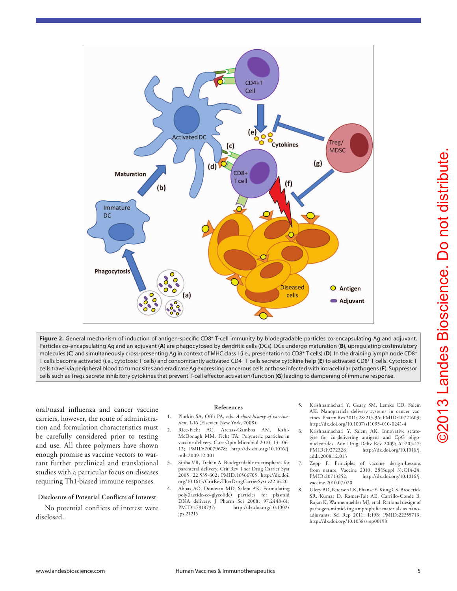

Figure 2. General mechanism of induction of antigen-specific CD8<sup>+</sup> T-cell immunity by biodegradable particles co-encapsulating Ag and adjuvant. Particles co-encapsulating Ag and an adjuvant (**A**) are phagocytosed by dendritic cells (DCs). DCs undergo maturation (**B**), upregulating costimulatory molecules (C) and simultaneously cross-presenting Ag in context of MHC class I (i.e., presentation to CD8<sup>+</sup> T cells) (D). In the draining lymph node CD8<sup>+</sup> T cells become activated (i.e., cytotoxic T cells) and concomitantly activated CD4+ T cells secrete cytokine help (**E**) to activated CD8+ T cells. Cytotoxic T cells travel via peripheral blood to tumor sites and eradicate Ag expressing cancerous cells or those infected with intracellular pathogens (**F**). Suppressor cells such as Tregs secrete inhibitory cytokines that prevent T-cell effector activation/function (**G**) leading to dampening of immune response.

oral/nasal influenza and cancer vaccine carriers, however, the route of administration and formulation characteristics must be carefully considered prior to testing and use. All three polymers have shown enough promise as vaccine vectors to warrant further preclinical and translational studies with a particular focus on diseases requiring Th1-biased immune responses.

#### **Disclosure of Potential Conflicts of Interest**

No potential conflicts of interest were disclosed.

#### **References**

- 1. Plotkin SA, Offit PA, eds. *A short history of vaccination*, 1-16 (Elsevier, New York, 2008).
- 2. Rice-Ficht AC, Arenas-Gamboa AM, Kahl-McDonagh MM, Ficht TA. Polymeric particles in vaccine delivery. Curr Opin Microbiol 2010; 13:106- 12; PMID:20079678; http://dx.doi.org/10.1016/j. mib.2009.12.001
- 3. Sinha VR, Trehan A. Biodegradable microspheres for parenteral delivery. Crit Rev Ther Drug Carrier Syst 2005; 22:535-602; PMID:16566705; http://dx.doi. org/10.1615/CritRevTherDrugCarrierSyst.v22.i6.20
- 4. Abbas AO, Donovan MD, Salem AK. Formulating poly(lactide-co-glycolide) particles for plasmid DNA delivery. J Pharm Sci 2008; 97:2448-61; PMID:17918737; http://dx.doi.org/10.1002/ jps.21215
- 5. Krishnamachari Y, Geary SM, Lemke CD, Salem AK. Nanoparticle delivery systems in cancer vaccines. Pharm Res 2011; 28:215-36; PMID:20721603; http://dx.doi.org/10.1007/s11095-010-0241-4
- 6. Krishnamachari Y, Salem AK. Innovative strategies for co-delivering antigens and CpG oligonucleotides. Adv Drug Deliv Rev 2009; 61:205-17;<br>PMID:19272328: http://dx.doi.org/10.1016/i. http://dx.doi.org/10.1016/j. addr.2008.12.013
- 7. Zepp F. Principles of vaccine design-Lessons from nature. Vaccine 2010; 28(Suppl 3):C14-24; PMID:20713252; http://dx.doi.org/10.1016/j. vaccine.2010.07.020
- 8. Ulery BD, Petersen LK, Phanse Y, Kong CS, Broderick SR, Kumar D, Ramer-Tait AE, Carrillo-Conde B, Rajan K, Wannemuehler MJ, et al. Rational design of pathogen-mimicking amphiphilic materials as nanoadjuvants. Sci Rep 2011; 1:198; PMID:22355713; http://dx.doi.org/10.1038/srep00198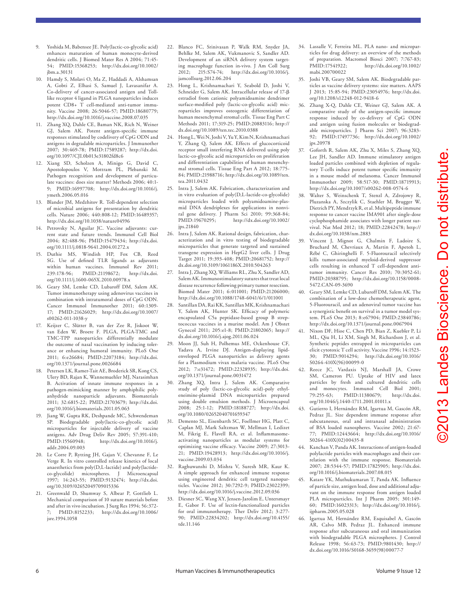- Yoshida M, Babensee JE. Poly(lactic-co-glycolic acid) enhances maturation of human monocyte-derived dendritic cells. J Biomed Mater Res A 2004; 71:45- 54; PMID:15368253; http://dx.doi.org/10.1002/ jbm.a.30131
- 10. Hamdy S, Molavi O, Ma Z, Haddadi A, Alshamsan A, Gobti Z, Elhasi S, Samuel J, Lavasanifar A. Co-delivery of cancer-associated antigen and Tolllike receptor 4 ligand in PLGA nanoparticles induces potent CD8+ T cell-mediated anti-tumor immunity. Vaccine 2008; 26:5046-57; PMID:18680779; http://dx.doi.org/10.1016/j.vaccine.2008.07.035
- 11. Zhang XQ, Dahle CE, Baman NK, Rich N, Weiner GJ, Salem AK. Potent antigen-specific immune responses stimulated by codelivery of CpG ODN and antigens in degradable microparticles. J Immunother 2007; 30:469-78; PMID:17589287; http://dx.doi. org/10.1097/CJI.0b013e31802fd8c6
- 12. Xiang SD, Scholzen A, Minigo G, David C, Apostolopoulos V, Mottram PL, Plebanski M. Pathogen recognition and development of particulate vaccines: does size matter? Methods 2006; 40:1- 9; PMID:16997708; http://dx.doi.org/10.1016/j. ymeth.2006.05.016
- 13. Blander JM, Medzhitov R. Toll-dependent selection of microbial antigens for presentation by dendritic cells. Nature 2006; 440:808-12; PMID:16489357; http://dx.doi.org/10.1038/nature04596
- 14. Petrovsky N, Aguilar JC. Vaccine adjuvants: current state and future trends. Immunol Cell Biol 2004; 82:488-96; PMID:15479434; http://dx.doi. org/10.1111/j.0818-9641.2004.01272.x
- 15. Duthie MS, Windish HP, Fox CB, Reed SG. Use of defined TLR ligands as adjuvants within human vaccines. Immunol Rev 2011; 239:178-96; PMID:21198672; http://dx.doi. org/10.1111/j.1600-065X.2010.00978.x
- 16. Geary SM, Lemke CD, Lubaroff DM, Salem AK. Tumor immunotherapy using adenovirus vaccines in combination with intratumoral doses of CpG ODN. Cancer Immunol Immunother 2011; 60:1309- 17; PMID:21626029; http://dx.doi.org/10.1007/ s00262-011-1038-y
- 17. Keijzer C, Slütter B, van der Zee R, Jiskoot W, van Eden W, Broere F. PLGA, PLGA-TMC and TMC-TPP nanoparticles differentially modulate the outcome of nasal vaccination by inducing tolerance or enhancing humoral immunity. PLoS One 2011; 6:e26684; PMID:22073184; http://dx.doi. org/10.1371/journal.pone.0026684
- 18. Petersen LK, Ramer-Tait AE, Broderick SR, Kong CS, Ulery BD, Rajan K, Wannemuehler MJ, Narasimhan B. Activation of innate immune responses in a pathogen-mimicking manner by amphiphilic polyanhydride nanoparticle adjuvants. Biomaterials 2011; 32:6815-22; PMID:21703679; http://dx.doi. org/10.1016/j.biomaterials.2011.05.063
- 19. Jiang W, Gupta RK, Deshpande MC, Schwendeman SP. Biodegradable poly(lactic-co-glycolic acid) microparticles for injectable delivery of vaccine antigens. Adv Drug Deliv Rev 2005; 57:391-410;<br>PMID:15560948; http://dx.doi.org/10.1016/j. http://dx.doi.org/10.1016/j. addr.2004.09.003
- 20. Le Corre P, Rytting JH, Gajan V, Chevanne F, Le Verge R. In vitro controlled release kinetics of local anaesthetics from poly(D,L-lactide) and poly(lactideco-glycolide) microspheres. J Microencapsul 1997; 14:243-55; PMID:9132474; http://dx.doi. org/10.3109/02652049709015336
- 21. Greenwald D, Shumway S, Albear P, Gottlieb L. Mechanical comparison of 10 suture materials before and after in vivo incubation. J Surg Res 1994; 56:372- 7; PMID:8152233; http://dx.doi.org/10.1006/ jsre.1994.1058
- 22. Blanco FC, Srinivasan P, Walk RM, Snyder JA, Behlke M, Salem AK, Vukmanovic S, Sandler AD. Development of an siRNA delivery system targeting macrophage function in-vivo. J Am Coll Surg 2012; 215:S74-74; http://dx.doi.org/10.1016/j. jamcollsurg.2012.06.204
- 23. Hong L, Krishnamachari Y, Seabold D, Joshi V, Schneider G, Salem AK. Intracellular release of 17-β estradiol from cationic polyamidoamine dendrimer surface-modified poly (lactic-co-glycolic acid) microparticles improves osteogenic differentiation of human mesenchymal stromal cells. Tissue Eng Part C Methods 2011; 17:319-25; PMID:20883116; http:// dx.doi.org/10.1089/ten.tec.2010.0388
- 24. Hong L, Wei N, Joshi V, Yu Y, Kim N, Krishnamachari Y, Zhang Q, Salem AK. Effects of glucocorticoid receptor small interfering RNA delivered using poly lactic-co-glycolic acid microparticles on proliferation and differentiation capabilities of human mesenchymal stromal cells. Tissue Eng Part A 2012; 18:775- 84; PMID:21988716; http://dx.doi.org/10.1089/ten. tea.2011.0432
- 25. Intra J, Salem AK. Fabrication, characterization and in vitro evaluation of poly(D,L-lactide-co-glycolide) microparticles loaded with polyamidoamine-plasmid DNA dendriplexes for applications in nonviral gene delivery. J Pharm Sci 2010; 99:368-84; PMID:19670295; http://dx.doi.org/10.1002/ jps.21840
- 26. Intra J, Salem AK. Rational design, fabrication, characterization and in vitro testing of biodegradable microparticles that generate targeted and sustained transgene expression in HepG2 liver cells. J Drug Target 2011; 19:393-408; PMID:20681752; http:// dx.doi.org/10.3109/1061186X.2010.504263
- 27. Intra J, Zhang XQ, Williams RL, Zhu X, Sandler AD, Salem AK. Immunostimulatory sutures that treat local disease recurrence following primary tumor resection. Biomed Mater 2011; 6:011001; PMID:21206000; http://dx.doi.org/10.1088/1748-6041/6/1/011001
- 28. Santillan DA, Rai KK, Santillan MK, Krishnamachari Y, Salem AK, Hunter SK. Efficacy of polymeric encapsulated C5a peptidase-based group B streptococcus vaccines in a murine model. Am J Obstet Gynecol 2011; 205:e1-8; PMID:21802065; http:// dx.doi.org/10.1016/j.ajog.2011.06.024
- 29. Moon JJ, Suh H, Polhemus ME, Ockenhouse CF, Yadava A, Irvine DJ. Antigen-displaying lipidenveloped PLGA nanoparticles as delivery agents for a Plasmodium vivax malaria vaccine. PLoS One 2012; 7:e31472; PMID:22328935; http://dx.doi. org/10.1371/journal.pone.0031472
- 30. Zhang XQ, Intra J, Salem AK. Comparative study of poly (lactic-co-glycolic acid)-poly ethyleneimine-plasmid DNA microparticles prepared using double emulsion methods. J Microencapsul 2008; 25:1-12; PMID:18188727; http://dx.doi. org/10.1080/02652040701659347
- 31. Demento SL, Eisenbarth SC, Foellmer HG, Platt C, Caplan MJ, Mark Saltzman W, Mellman I, Ledizet M, Fikrig E, Flavell RA, et al. Inflammasomeactivating nanoparticles as modular systems for optimizing vaccine efficacy. Vaccine 2009; 27:3013- 21; PMID:19428913; http://dx.doi.org/10.1016/j. vaccine.2009.03.034
- 32. Raghuwanshi D, Mishra V, Suresh MR, Kaur K. A simple approach for enhanced immune response using engineered dendritic cell targeted nanoparticles. Vaccine 2012; 30:7292-9; PMID:23022399; http://dx.doi.org/10.1016/j.vaccine.2012.09.036
- 33. Diesner SC, Wang XY, Jensen-Jarolim E, Untersmayr E, Gabor F. Use of lectin-functionalized particles for oral immunotherapy. Ther Deliv 2012; 3:277- 90; PMID:22834202; http://dx.doi.org/10.4155/ tde.11.146
- 34. Lassalle V, Ferreira ML. PLA nano- and microparticles for drug delivery: an overview of the methods of preparation. Macromol Biosci 2007; 7:767-83;<br>PMID:17541922; http://dx.doi.org/10.1002/  $http://dx.doi.org/10.1002/$ mabi.200700022
- 35. Joshi VB, Geary SM, Salem AK. Biodegradable particles as vaccine delivery systems: size matters. AAPS J 2013; 15:85-94; PMID:23054976; http://dx.doi. org/10.1208/s12248-012-9418-6
- 36. Zhang X-Q, Dahle CE, Weiner GJ, Salem AK. A comparative study of the antigen-specific immune response induced by co-delivery of CpG ODN and antigen using fusion molecules or biodegradable microparticles. J Pharm Sci 2007; 96:3283- 92; PMID:17497736; http://dx.doi.org/10.1002/ jps.20978
- 37. Goforth R, Salem AK, Zhu X, Miles S, Zhang XQ, Lee JH, Sandler AD. Immune stimulatory antigen loaded particles combined with depletion of regulatory T-cells induce potent tumor specific immunity in a mouse model of melanoma. Cancer Immunol Immunother 2009; 58:517-30; PMID:18719913; http://dx.doi.org/10.1007/s00262-008-0574-6
- 38. Walter S, Weinschenk T, Stenzl A, Zdrojowy R, Pluzanska A, Szczylik C, Staehler M, Brugger W, Dietrich PY, Mendrzyk R, et al. Multipeptide immune response to cancer vaccine IMA901 after single-dose cyclophosphamide associates with longer patient survival. Nat Med 2012; 18; PMID:22842478; http:// dx.doi.org/10.1038/nm.2883
- 39. Vincent J, Mignot G, Chalmin F, Ladoire S, Bruchard M, Chevriaux A, Martin F, Apetoh L, Rébé C, Ghiringhelli F. 5-Fluorouracil selectively kills tumor-associated myeloid-derived suppressor cells resulting in enhanced T cell-dependent antitumor immunity. Cancer Res 2010; 70:3052-61; PMID:20388795; http://dx.doi.org/10.1158/0008- 5472.CAN-09-3690
- 40. Geary SM, Lemke CD, Lubaroff DM, Salem AK. The combination of a low-dose chemotherapeutic agent, 5-Fluorouracil, and an adenoviral tumor vaccine has a synergistic benefit on survival in a tumor model system. PLoS One 2013; 8:e67904; PMID:23840786; http://dx.doi.org/10.1371/journal.pone.0067904
- 41. Nixon DF, Hioe C, Chen PD, Bian Z, Kuebler P, Li ML, Qiu H, Li XM, Singh M, Richardson J, et al. Synthetic peptides entrapped in microparticles can elicit cytotoxic T cell activity. Vaccine 1996; 14:1523- 30; PMID:9014294; http://dx.doi.org/10.1016/ S0264-410X(96)00099-0
- 42. Reece JC, Vardaxis NJ, Marshall JA, Crowe SM, Cameron PU. Uptake of HIV and latex particles by fresh and cultured dendritic cells and monocytes. Immunol Cell Biol 2001; 79:255-63; PMID:11380679; http://dx.doi. org/10.1046/j.1440-1711.2001.01011.x
- 43. Gutierro I, Hernández RM, Igartua M, Gascón AR, Pedraz JL. Size dependent immune response after subcutaneous, oral and intranasal administration of BSA loaded nanospheres. Vaccine 2002; 21:67- 77; PMID:12443664; http://dx.doi.org/10.1016/ S0264-410X(02)00435-8
- Kanchan V, Panda AK. Interactions of antigen-loaded polylactide particles with macrophages and their correlation with the immune response. Biomaterials 2007; 28:5344-57; PMID:17825905; http://dx.doi. org/10.1016/j.biomaterials.2007.08.015
- 45. Katare YK, Muthukumaran T, Panda AK. Influence of particle size, antigen load, dose and additional adjuvant on the immune response from antigen loaded PLA microparticles. Int J Pharm 2005; 301:149-60; PMID:16023313; http://dx.doi.org/10.1016/j. ijpharm.2005.05.028
- 46. Igartua M, Hernández RM, Esquisabel A, Gascón AR, Calvo MB, Pedraz JL. Enhanced immune response after subcutaneous and oral immunization with biodegradable PLGA microspheres. J Control Release 1998; 56:63-73; PMID:9801430; http:// dx.doi.org/10.1016/S0168-3659(98)00077-7